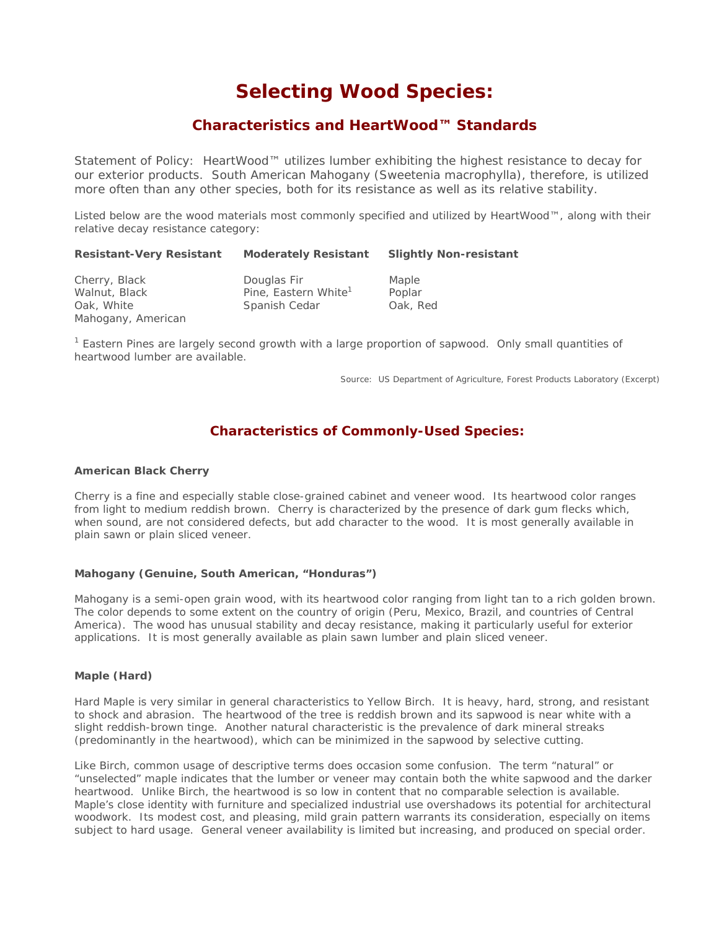# **Selecting Wood Species:**

# *Characteristics and HeartWood™ Standards*

*Statement of Policy: HeartWood™ utilizes lumber exhibiting the highest resistance to decay for our exterior products. South American Mahogany (Sweetenia macrophylla), therefore, is utilized more often than any other species, both for its resistance as well as its relative stability.* 

Listed below are the wood materials most commonly specified and utilized by HeartWood™, along with their relative decay resistance category:

| <b>Resistant-Very Resistant</b>                                    | <b>Moderately Resistant</b>                                      | <b>Slightly Non-resistant</b> |
|--------------------------------------------------------------------|------------------------------------------------------------------|-------------------------------|
| Cherry, Black<br>Walnut, Black<br>Oak, White<br>Mahogany, American | Douglas Fir<br>Pine, Eastern White <sup>1</sup><br>Spanish Cedar | Maple<br>Poplar<br>Oak, Red   |

<sup>1</sup> Eastern Pines are largely second growth with a large proportion of sapwood. Only small quantities of heartwood lumber are available.

Source: US Department of Agriculture, Forest Products Laboratory (Excerpt)

# **Characteristics of Commonly-Used Species:**

### **American Black Cherry**

Cherry is a fine and especially stable close-grained cabinet and veneer wood. Its heartwood color ranges from light to medium reddish brown. Cherry is characterized by the presence of dark gum flecks which, when sound, are not considered defects, but add character to the wood. It is most generally available in plain sawn or plain sliced veneer.

#### **Mahogany (Genuine, South American, "Honduras")**

Mahogany is a semi-open grain wood, with its heartwood color ranging from light tan to a rich golden brown. The color depends to some extent on the country of origin (Peru, Mexico, Brazil, and countries of Central America). The wood has unusual stability and decay resistance, making it particularly useful for exterior applications. It is most generally available as plain sawn lumber and plain sliced veneer.

## **Maple (Hard)**

Hard Maple is very similar in general characteristics to Yellow Birch. It is heavy, hard, strong, and resistant to shock and abrasion. The heartwood of the tree is reddish brown and its sapwood is near white with a slight reddish-brown tinge. Another natural characteristic is the prevalence of dark mineral streaks (predominantly in the heartwood), which can be minimized in the sapwood by selective cutting.

Like Birch, common usage of descriptive terms does occasion some confusion. The term "natural" or "unselected" maple indicates that the lumber or veneer may contain both the white sapwood and the darker heartwood. Unlike Birch, the heartwood is so low in content that no comparable selection is available. Maple's close identity with furniture and specialized industrial use overshadows its potential for architectural woodwork. Its modest cost, and pleasing, mild grain pattern warrants its consideration, especially on items subject to hard usage. General veneer availability is limited but increasing, and produced on special order.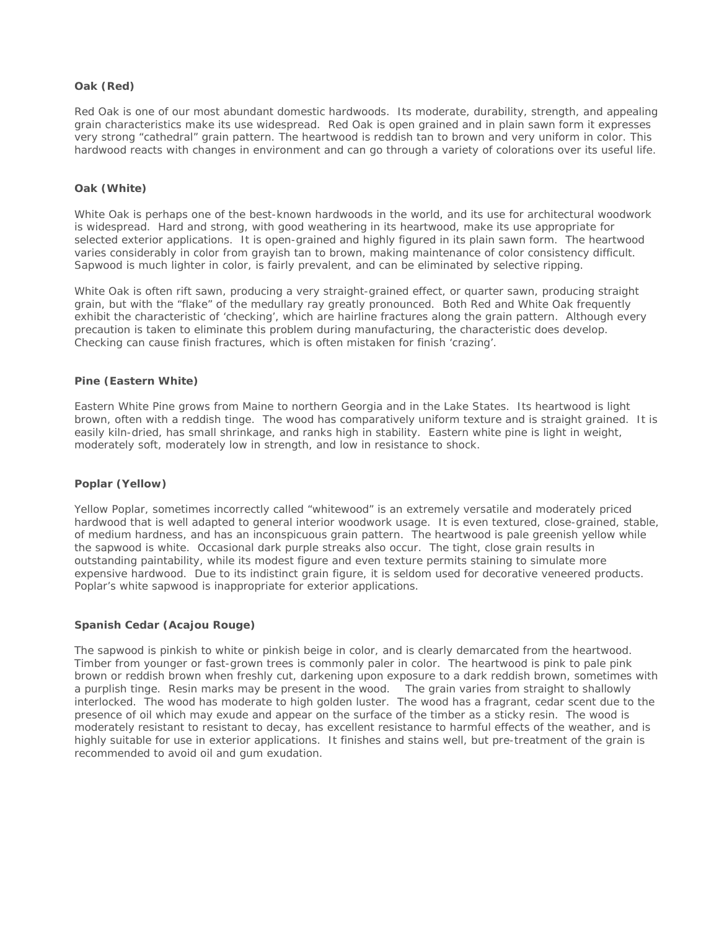#### **Oak (Red)**

Red Oak is one of our most abundant domestic hardwoods. Its moderate, durability, strength, and appealing grain characteristics make its use widespread. Red Oak is open grained and in plain sawn form it expresses very strong "cathedral" grain pattern. The heartwood is reddish tan to brown and very uniform in color. This hardwood reacts with changes in environment and can go through a variety of colorations over its useful life.

#### **Oak (White)**

White Oak is perhaps one of the best-known hardwoods in the world, and its use for architectural woodwork is widespread. Hard and strong, with good weathering in its heartwood, make its use appropriate for selected exterior applications. It is open-grained and highly figured in its plain sawn form. The heartwood varies considerably in color from grayish tan to brown, making maintenance of color consistency difficult. Sapwood is much lighter in color, is fairly prevalent, and can be eliminated by selective ripping.

White Oak is often rift sawn, producing a very straight-grained effect, or quarter sawn, producing straight grain, but with the "flake" of the medullary ray greatly pronounced. Both Red and White Oak frequently exhibit the characteristic of 'checking', which are hairline fractures along the grain pattern. Although every precaution is taken to eliminate this problem during manufacturing, the characteristic does develop. Checking can cause finish fractures, which is often mistaken for finish 'crazing'.

#### **Pine (Eastern White)**

Eastern White Pine grows from Maine to northern Georgia and in the Lake States. Its heartwood is light brown, often with a reddish tinge. The wood has comparatively uniform texture and is straight grained. It is easily kiln-dried, has small shrinkage, and ranks high in stability. Eastern white pine is light in weight, moderately soft, moderately low in strength, and low in resistance to shock.

## **Poplar (Yellow)**

Yellow Poplar, sometimes incorrectly called "whitewood" is an extremely versatile and moderately priced hardwood that is well adapted to general interior woodwork usage. It is even textured, close-grained, stable, of medium hardness, and has an inconspicuous grain pattern. The heartwood is pale greenish yellow while the sapwood is white. Occasional dark purple streaks also occur. The tight, close grain results in outstanding paintability, while its modest figure and even texture permits staining to simulate more expensive hardwood. Due to its indistinct grain figure, it is seldom used for decorative veneered products. Poplar's white sapwood is inappropriate for exterior applications.

#### **Spanish Cedar (Acajou Rouge)**

The sapwood is pinkish to white or pinkish beige in color, and is clearly demarcated from the heartwood. Timber from younger or fast-grown trees is commonly paler in color. The heartwood is pink to pale pink brown or reddish brown when freshly cut, darkening upon exposure to a dark reddish brown, sometimes with a purplish tinge. Resin marks may be present in the wood. The grain varies from straight to shallowly interlocked. The wood has moderate to high golden luster. The wood has a fragrant, cedar scent due to the presence of oil which may exude and appear on the surface of the timber as a sticky resin. The wood is moderately resistant to resistant to decay, has excellent resistance to harmful effects of the weather, and is highly suitable for use in exterior applications. It finishes and stains well, but pre-treatment of the grain is recommended to avoid oil and gum exudation.